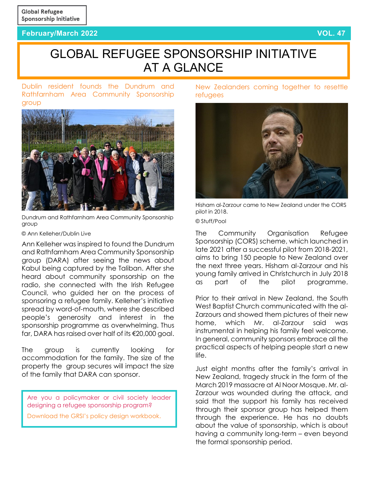## **February/March 2022 VOL. 47**

# GLOBAL REFUGEE SPONSORSHIP INITIATIVE AT A GLANCE

Dublin resident founds [the Dundrum and](https://www.dublinlive.ie/news/dublin-news/kind-hearted-dublin-residents-come-23276021)  [Rathfarnham Area Community Sponsorship](https://www.dublinlive.ie/news/dublin-news/kind-hearted-dublin-residents-come-23276021)  [group](https://www.dublinlive.ie/news/dublin-news/kind-hearted-dublin-residents-come-23276021) 



Dundrum and Rathfarnham Area Community Sponsorship group

#### © Ann Kelleher/Dublin Live

Ann Kelleher was inspired to found the Dundrum and Rathfarnham Area Community Sponsorship group (DARA) after seeing the news about Kabul being captured by the Taliban. After she heard about community sponsorship on the radio, she connected with the Irish Refugee Council, who guided her on the process of sponsoring a refugee family. Kelleher's initiative spread by word-of-mouth, where she described people's generosity and interest in the sponsorship programme as overwhelming. Thus far, DARA has raised over half of its €20,000 goal.

The group is currently looking for accommodation for the family. The size of the property the group secures will impact the size of the family that DARA can sponsor.

Are you a policymaker or civil society leader designing a refugee sponsorship program?

[Download the GRSI's policy design workbook.](https://refugeesponsorship.org/_uploads/603152976a5bb.pdf)

[New Zealanders coming together to resettle](https://www.rnz.co.nz/news/national/462405/refugee-sponsorship-scheme-sees-kiwis-volunteer-to-help-settle-migrants)  [refugees](https://www.rnz.co.nz/news/national/462405/refugee-sponsorship-scheme-sees-kiwis-volunteer-to-help-settle-migrants)



Hisham al-Zarzour came to New Zealand under the CORS pilot in 2018.

#### © Stuff/Pool

The Community Organisation Refugee Sponsorship (CORS) scheme, which launched in late 2021 after a successful pilot from 2018-2021, aims to bring 150 people to New Zealand over the next three years. Hisham al-Zarzour and his young family arrived in Christchurch in July 2018 as part of the pilot programme.

Prior to their arrival in New Zealand, the South West Baptist Church communicated with the al-Zarzours and showed them pictures of their new home, which Mr. al-Zarzour said was instrumental in helping his family feel welcome. In general, community sponsors embrace all the practical aspects of helping people start a new life.

Just eight months after the family's arrival in New Zealand, tragedy struck in the form of the March 2019 massacre at Al Noor Mosque. Mr. al-Zarzour was wounded during the attack, and said that the support his family has received through their sponsor group has helped them through the experience. He has no doubts about the value of sponsorship, which is about having a community long-term – even beyond the formal sponsorship period.